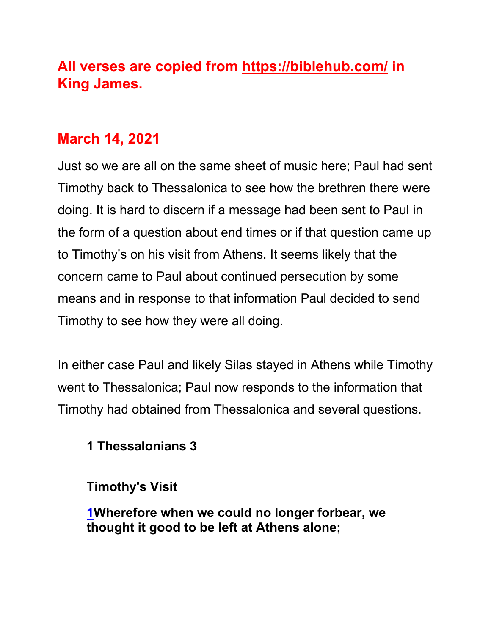# **All verses are copied from https://biblehub.com/ in King James.**

# **March 14, 2021**

Just so we are all on the same sheet of music here; Paul had sent Timothy back to Thessalonica to see how the brethren there were doing. It is hard to discern if a message had been sent to Paul in the form of a question about end times or if that question came up to Timothy's on his visit from Athens. It seems likely that the concern came to Paul about continued persecution by some means and in response to that information Paul decided to send Timothy to see how they were all doing.

In either case Paul and likely Silas stayed in Athens while Timothy went to Thessalonica; Paul now responds to the information that Timothy had obtained from Thessalonica and several questions.

### **1 Thessalonians 3**

### **Timothy's Visit**

**1Wherefore when we could no longer forbear, we thought it good to be left at Athens alone;**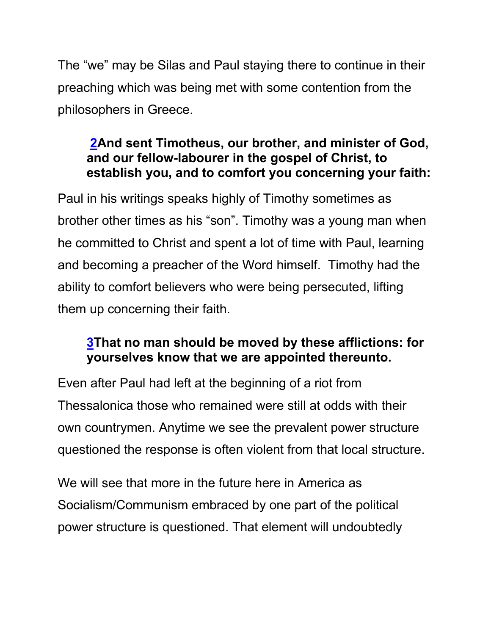The "we" may be Silas and Paul staying there to continue in their preaching which was being met with some contention from the philosophers in Greece.

#### **2And sent Timotheus, our brother, and minister of God, and our fellow-labourer in the gospel of Christ, to establish you, and to comfort you concerning your faith:**

Paul in his writings speaks highly of Timothy sometimes as brother other times as his "son". Timothy was a young man when he committed to Christ and spent a lot of time with Paul, learning and becoming a preacher of the Word himself. Timothy had the ability to comfort believers who were being persecuted, lifting them up concerning their faith.

### **3That no man should be moved by these afflictions: for yourselves know that we are appointed thereunto.**

Even after Paul had left at the beginning of a riot from Thessalonica those who remained were still at odds with their own countrymen. Anytime we see the prevalent power structure questioned the response is often violent from that local structure.

We will see that more in the future here in America as Socialism/Communism embraced by one part of the political power structure is questioned. That element will undoubtedly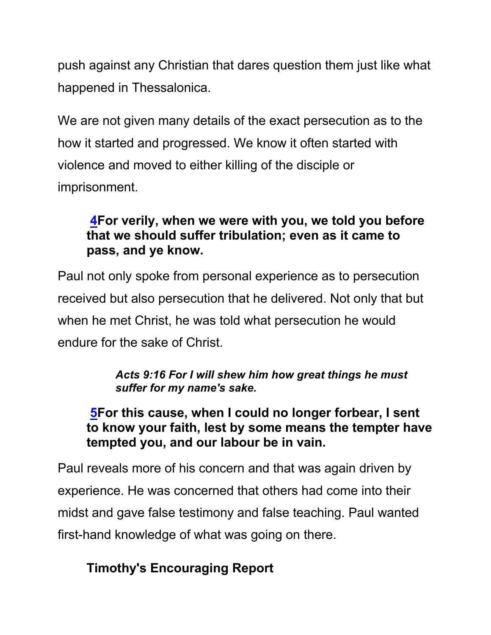push against any Christian that dares question them just like what happened in Thessalonica.

We are not given many details of the exact persecution as to the how it started and progressed. We know it often started with violence and moved to either killing of the disciple or imprisonment.

### **4For verily, when we were with you, we told you before that we should suffer tribulation; even as it came to pass, and ye know.**

Paul not only spoke from personal experience as to persecution received but also persecution that he delivered. Not only that but when he met Christ, he was told what persecution he would endure for the sake of Christ.

#### *Acts 9:16 For I will shew him how great things he must suffer for my name's sake.*

#### **5For this cause, when I could no longer forbear, I sent to know your faith, lest by some means the tempter have tempted you, and our labour be in vain.**

Paul reveals more of his concern and that was again driven by experience. He was concerned that others had come into their midst and gave false testimony and false teaching. Paul wanted first-hand knowledge of what was going on there.

## **Timothy's Encouraging Report**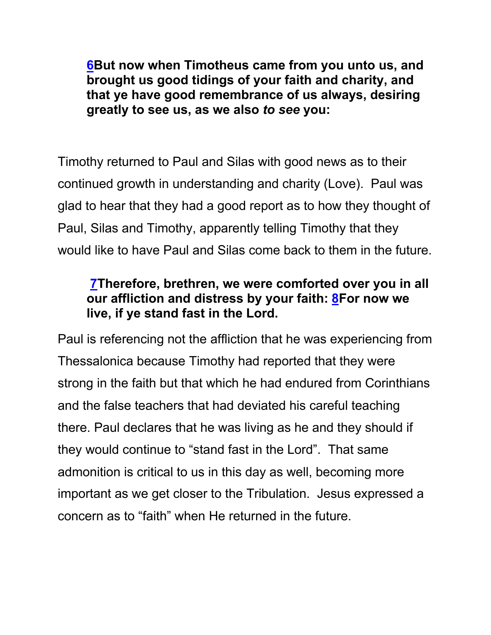**6But now when Timotheus came from you unto us, and brought us good tidings of your faith and charity, and that ye have good remembrance of us always, desiring greatly to see us, as we also** *to see* **you:**

Timothy returned to Paul and Silas with good news as to their continued growth in understanding and charity (Love). Paul was glad to hear that they had a good report as to how they thought of Paul, Silas and Timothy, apparently telling Timothy that they would like to have Paul and Silas come back to them in the future.

### **7Therefore, brethren, we were comforted over you in all our affliction and distress by your faith: 8For now we live, if ye stand fast in the Lord.**

Paul is referencing not the affliction that he was experiencing from Thessalonica because Timothy had reported that they were strong in the faith but that which he had endured from Corinthians and the false teachers that had deviated his careful teaching there. Paul declares that he was living as he and they should if they would continue to "stand fast in the Lord". That same admonition is critical to us in this day as well, becoming more important as we get closer to the Tribulation. Jesus expressed a concern as to "faith" when He returned in the future.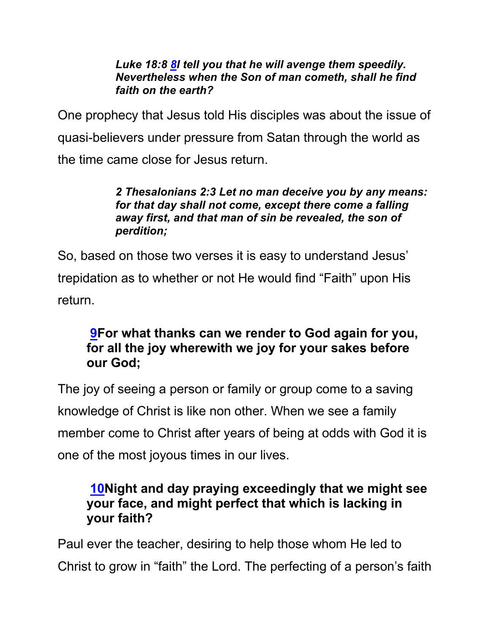#### *Luke 18:8 8I tell you that he will avenge them speedily. Nevertheless when the Son of man cometh, shall he find faith on the earth?*

One prophecy that Jesus told His disciples was about the issue of quasi-believers under pressure from Satan through the world as the time came close for Jesus return.

#### *2 Thesalonians 2:3 Let no man deceive you by any means: for that day shall not come, except there come a falling away first, and that man of sin be revealed, the son of perdition;*

So, based on those two verses it is easy to understand Jesus' trepidation as to whether or not He would find "Faith" upon His return.

### **9For what thanks can we render to God again for you, for all the joy wherewith we joy for your sakes before our God;**

The joy of seeing a person or family or group come to a saving knowledge of Christ is like non other. When we see a family member come to Christ after years of being at odds with God it is one of the most joyous times in our lives.

### **10Night and day praying exceedingly that we might see your face, and might perfect that which is lacking in your faith?**

Paul ever the teacher, desiring to help those whom He led to Christ to grow in "faith" the Lord. The perfecting of a person's faith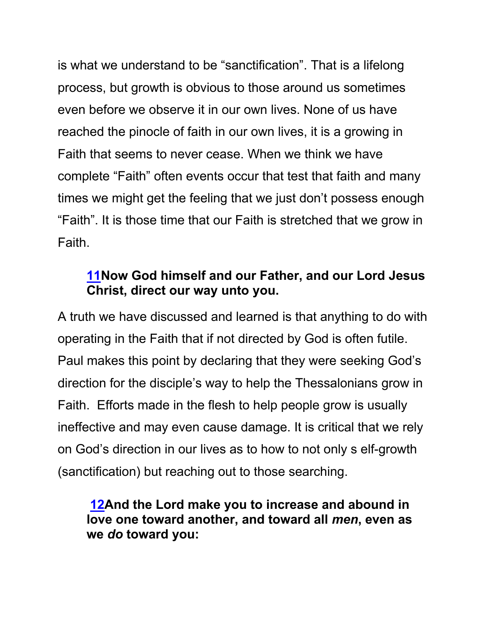is what we understand to be "sanctification". That is a lifelong process, but growth is obvious to those around us sometimes even before we observe it in our own lives. None of us have reached the pinocle of faith in our own lives, it is a growing in Faith that seems to never cease. When we think we have complete "Faith" often events occur that test that faith and many times we might get the feeling that we just don't possess enough "Faith". It is those time that our Faith is stretched that we grow in Faith.

#### **11Now God himself and our Father, and our Lord Jesus Christ, direct our way unto you.**

A truth we have discussed and learned is that anything to do with operating in the Faith that if not directed by God is often futile. Paul makes this point by declaring that they were seeking God's direction for the disciple's way to help the Thessalonians grow in Faith. Efforts made in the flesh to help people grow is usually ineffective and may even cause damage. It is critical that we rely on God's direction in our lives as to how to not only s elf-growth (sanctification) but reaching out to those searching.

#### **12And the Lord make you to increase and abound in love one toward another, and toward all** *men***, even as we** *do* **toward you:**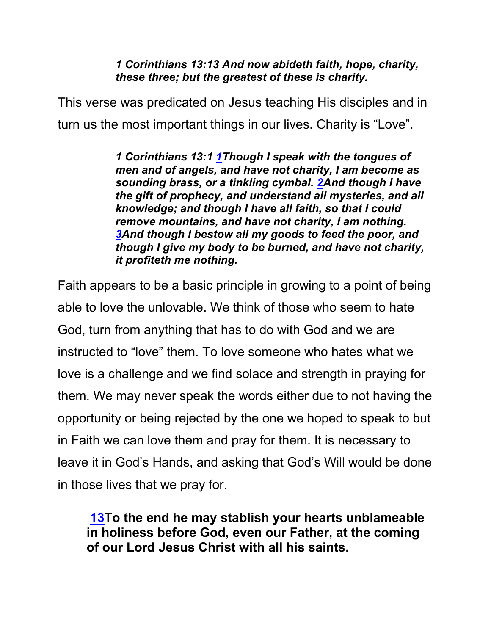#### *1 Corinthians 13:13 And now abideth faith, hope, charity, these three; but the greatest of these is charity.*

This verse was predicated on Jesus teaching His disciples and in turn us the most important things in our lives. Charity is "Love".

> *1 Corinthians 13:1 1Though I speak with the tongues of men and of angels, and have not charity, I am become as sounding brass, or a tinkling cymbal. 2And though I have the gift of prophecy, and understand all mysteries, and all knowledge; and though I have all faith, so that I could remove mountains, and have not charity, I am nothing. 3And though I bestow all my goods to feed the poor, and though I give my body to be burned, and have not charity, it profiteth me nothing.*

Faith appears to be a basic principle in growing to a point of being able to love the unlovable. We think of those who seem to hate God, turn from anything that has to do with God and we are instructed to "love" them. To love someone who hates what we love is a challenge and we find solace and strength in praying for them. We may never speak the words either due to not having the opportunity or being rejected by the one we hoped to speak to but in Faith we can love them and pray for them. It is necessary to leave it in God's Hands, and asking that God's Will would be done in those lives that we pray for.

**13To the end he may stablish your hearts unblameable in holiness before God, even our Father, at the coming of our Lord Jesus Christ with all his saints.**